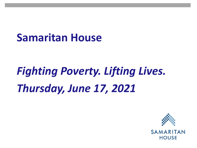# *Fighting Poverty. Lifting Lives. Thursday, June 17, 2021*

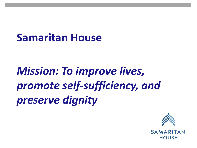## *Mission: To improve lives, promote self-sufficiency, and preserve dignity*

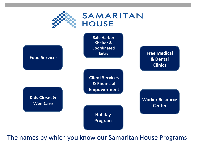

SAMARITAN **HOUSE** 



The names by which you know our Samaritan House Programs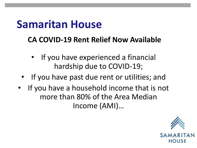#### **CA COVID-19 Rent Relief Now Available**

- If you have experienced a financial hardship due to COVID-19;
- If you have past due rent or utilities; and
- If you have a household income that is not more than 80% of the Area Median Income (AMI)…

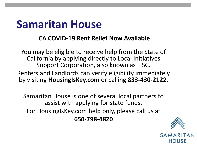#### **CA COVID-19 Rent Relief Now Available**

You may be eligible to receive help from the State of California by applying directly to Local Initiatives Support Corporation, also known as LISC.

Renters and Landlords can verify eligibility immediately by visiting **HousingIsKey.com** or calling **833-430-2122**.

Samaritan House is one of several local partners to assist with applying for state funds. For HousingIsKey.com help only, please call us at **650-798-4820**